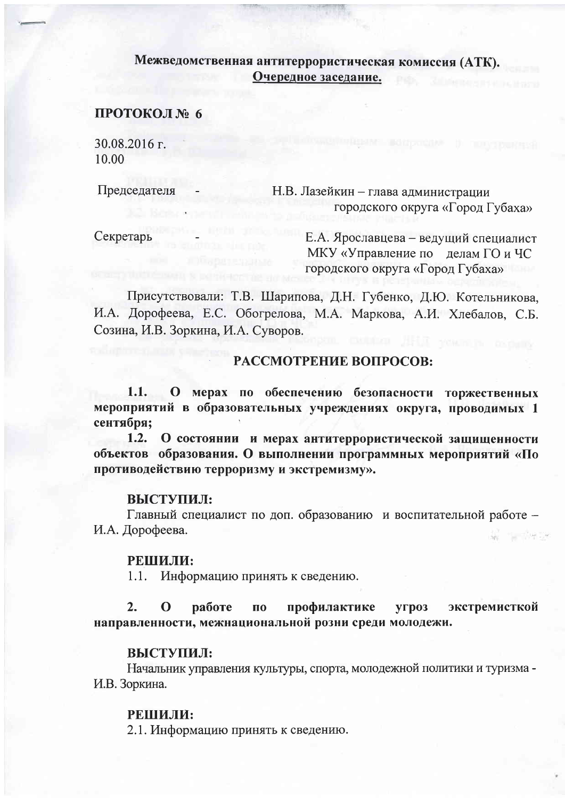# Межведомственная антитеррористическая комиссия (АТК). Очередное заседание.

## ПРОТОКОЛ № 6

30.08.2016 г. 10.00

Председателя

Н.В. Лазейкин - глава администрации городского округа «Город Губаха»

Секретарь

Е.А. Ярославцева - ведущий специалист МКУ «Управление по делам ГО и ЧС городского округа «Город Губаха»

Присутствовали: Т.В. Шарипова, Д.Н. Губенко, Д.Ю. Котельникова. И.А. Дорофеева, Е.С. Обогрелова, М.А. Маркова, А.И. Хлебалов, С.Б. Созина, И.В. Зоркина, И.А. Суворов.

## РАССМОТРЕНИЕ ВОПРОСОВ:

 $1.1.$ О мерах по обеспечению безопасности торжественных мероприятий в образовательных учреждениях округа, проводимых 1 сентября;

 $1.2.$ О состоянии и мерах антитеррористической защищенности объектов образования. О выполнении программных мероприятий «По противодействию терроризму и экстремизму».

### ВЫСТУПИЛ:

Главный специалист по доп. образованию и воспитательной работе -И.А. Дорофеева.

#### РЕШИЛИ:

 $1.1.$ Информацию принять к сведению.

 $2.$ экстремисткой  $\mathbf 0$ работе профилактике ПО **YFP03** направленности, межнациональной розни среди молодежи.

### ВЫСТУПИЛ:

Начальник управления культуры, спорта, молодежной политики и туризма -И.В. Зоркина.

### РЕШИЛИ:

2.1. Информацию принять к сведению.